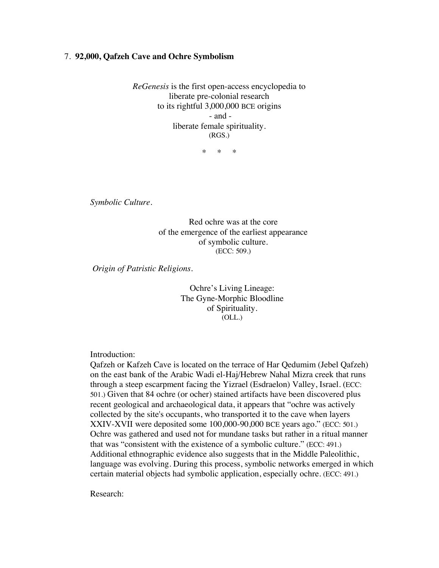## 7. **92,000, Qafzeh Cave and Ochre Symbolism**

*ReGenesis* is the first open-access encyclopedia to liberate pre-colonial research to its rightful 3,000,000 BCE origins - and liberate female spirituality. (RGS.)

\* \* \*

*Symbolic Culture.*

Red ochre was at the core of the emergence of the earliest appearance of symbolic culture. (ECC: 509.)

*Origin of Patristic Religions.*

Ochre's Living Lineage: The Gyne-Morphic Bloodline of Spirituality. (OLL.)

Introduction:

Qafzeh or Kafzeh Cave is located on the terrace of Har Qedumim (Jebel Qafzeh) on the east bank of the Arabic Wadi el-Haj/Hebrew Nahal Mizra creek that runs through a steep escarpment facing the Yizrael (Esdraelon) Valley, Israel. (ECC: 501.) Given that 84 ochre (or ocher) stained artifacts have been discovered plus recent geological and archaeological data, it appears that "ochre was actively collected by the site's occupants, who transported it to the cave when layers XXIV-XVII were deposited some 100,000-90,000 BCE years ago." (ECC: 501.) Ochre was gathered and used not for mundane tasks but rather in a ritual manner that was "consistent with the existence of a symbolic culture." (ECC: 491.) Additional ethnographic evidence also suggests that in the Middle Paleolithic, language was evolving. During this process, symbolic networks emerged in which certain material objects had symbolic application, especially ochre. (ECC: 491.)

Research: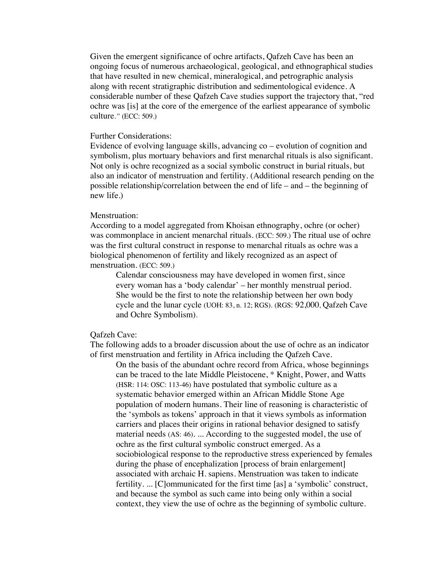Given the emergent significance of ochre artifacts, Qafzeh Cave has been an ongoing focus of numerous archaeological, geological, and ethnographical studies that have resulted in new chemical, mineralogical, and petrographic analysis along with recent stratigraphic distribution and sedimentological evidence. A considerable number of these Qafzeh Cave studies support the trajectory that, "red ochre was [is] at the core of the emergence of the earliest appearance of symbolic culture*."* (ECC: 509.)

#### Further Considerations:

Evidence of evolving language skills, advancing co – evolution of cognition and symbolism, plus mortuary behaviors and first menarchal rituals is also significant. Not only is ochre recognized as a social symbolic construct in burial rituals, but also an indicator of menstruation and fertility. (Additional research pending on the possible relationship/correlation between the end of life – and – the beginning of new life.)

#### Menstruation:

According to a model aggregated from Khoisan ethnography, ochre (or ocher) was commonplace in ancient menarchal rituals. (ECC: 509.) The ritual use of ochre was the first cultural construct in response to menarchal rituals as ochre was a biological phenomenon of fertility and likely recognized as an aspect of menstruation. (ECC: 509.)

Calendar consciousness may have developed in women first, since every woman has a 'body calendar' – her monthly menstrual period. She would be the first to note the relationship between her own body cycle and the lunar cycle (UOH: 83, n. 12; RGS). (RGS: 92,000, Qafzeh Cave and Ochre Symbolism).

## Qafzeh Cave:

The following adds to a broader discussion about the use of ochre as an indicator of first menstruation and fertility in Africa including the Qafzeh Cave.

On the basis of the abundant ochre record from Africa, whose beginnings can be traced to the late Middle Pleistocene, \* Knight, Power, and Watts (HSR: 114: OSC: 113-46) have postulated that symbolic culture as a systematic behavior emerged within an African Middle Stone Age population of modern humans. Their line of reasoning is characteristic of the 'symbols as tokens' approach in that it views symbols as information carriers and places their origins in rational behavior designed to satisfy material needs (AS: 46). ... According to the suggested model, the use of ochre as the first cultural symbolic construct emerged. As a sociobiological response to the reproductive stress experienced by females during the phase of encephalization [process of brain enlargement] associated with archaic H. sapiens. Menstruation was taken to indicate fertility. ... [C]ommunicated for the first time [as] a 'symbolic' construct, and because the symbol as such came into being only within a social context, they view the use of ochre as the beginning of symbolic culture.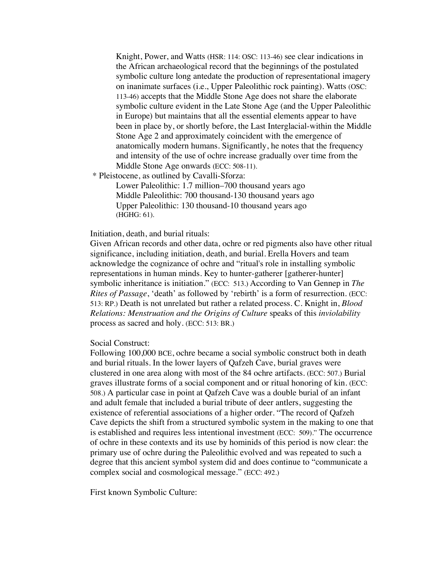Knight, Power, and Watts (HSR: 114: OSC: 113-46) see clear indications in the African archaeological record that the beginnings of the postulated symbolic culture long antedate the production of representational imagery on inanimate surfaces (i.e., Upper Paleolithic rock painting). Watts (OSC: 113-46) accepts that the Middle Stone Age does not share the elaborate symbolic culture evident in the Late Stone Age (and the Upper Paleolithic in Europe) but maintains that all the essential elements appear to have been in place by, or shortly before, the Last Interglacial-within the Middle Stone Age 2 and approximately coincident with the emergence of anatomically modern humans. Significantly, he notes that the frequency and intensity of the use of ochre increase gradually over time from the Middle Stone Age onwards (ECC: 508-11).

\* Pleistocene, as outlined by Cavalli-Sforza:

Lower Paleolithic: 1.7 million–700 thousand years ago Middle Paleolithic: 700 thousand-130 thousand years ago Upper Paleolithic: 130 thousand-10 thousand years ago (HGHG: 61).

Initiation, death, and burial rituals:

Given African records and other data, ochre or red pigments also have other ritual significance, including initiation, death, and burial. Erella Hovers and team acknowledge the cognizance of ochre and "ritual's role in installing symbolic representations in human minds. Key to hunter-gatherer [gatherer-hunter] symbolic inheritance is initiation." (ECC: 513.) According to Van Gennep in *The Rites of Passage*, 'death' as followed by 'rebirth' is a form of resurrection. (ECC: 513: RP.) Death is not unrelated but rather a related process. C. Knight in, *Blood Relations: Menstruation and the Origins of Culture* speaks of this *inviolability* process as sacred and holy. (ECC: 513: BR.)

Social Construct:

Following 100,000 BCE, ochre became a social symbolic construct both in death and burial rituals. In the lower layers of Qafzeh Cave, burial graves were clustered in one area along with most of the 84 ochre artifacts. (ECC: 507.) Burial graves illustrate forms of a social component and or ritual honoring of kin. (ECC: 508.) A particular case in point at Qafzeh Cave was a double burial of an infant and adult female that included a burial tribute of deer antlers, suggesting the existence of referential associations of a higher order. "The record of Qafzeh Cave depicts the shift from a structured symbolic system in the making to one that is established and requires less intentional investment (ECC: 509)." The occurrence of ochre in these contexts and its use by hominids of this period is now clear: the primary use of ochre during the Paleolithic evolved and was repeated to such a degree that this ancient symbol system did and does continue to "communicate a complex social and cosmological message." (ECC: 492.)

First known Symbolic Culture: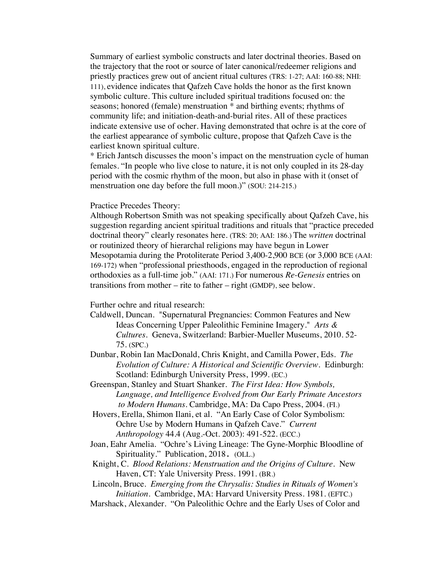Summary of earliest symbolic constructs and later doctrinal theories. Based on the trajectory that the root or source of later canonical/redeemer religions and priestly practices grew out of ancient ritual cultures (TRS: 1-27; AAI: 160-88; NHI: 111), evidence indicates that Qafzeh Cave holds the honor as the first known symbolic culture. This culture included spiritual traditions focused on: the seasons; honored (female) menstruation \* and birthing events; rhythms of community life; and initiation-death-and-burial rites. All of these practices indicate extensive use of ocher. Having demonstrated that ochre is at the core of the earliest appearance of symbolic culture, propose that Qafzeh Cave is the earliest known spiritual culture.

\* Erich Jantsch discusses the moon's impact on the menstruation cycle of human females. "In people who live close to nature, it is not only coupled in its 28-day period with the cosmic rhythm of the moon, but also in phase with it (onset of menstruation one day before the full moon.)" (SOU: 214-215.)

# Practice Precedes Theory:

Although Robertson Smith was not speaking specifically about Qafzeh Cave, his suggestion regarding ancient spiritual traditions and rituals that "practice preceded doctrinal theory" clearly resonates here. (TRS: 20; AAI: 186.) The *written* doctrinal or routinized theory of hierarchal religions may have begun in Lower Mesopotamia during the Protoliterate Period 3,400-2,900 BCE (or 3,000 BCE (AAI: 169-172) when "professional priesthoods, engaged in the reproduction of regional orthodoxies as a full-time job." (AAI: 171.) For numerous *Re-Genesis* entries on transitions from mother – rite to father – right (GMDP), see below.

Further ochre and ritual research:

- Caldwell, Duncan. "Supernatural Pregnancies: Common Features and New Ideas Concerning Upper Paleolithic Feminine Imagery." *Arts & Cultures.* Geneva, Switzerland: Barbier-Mueller Museums, 2010. 52- 75. (SPC.)
- Dunbar, Robin Ian MacDonald, Chris Knight, and Camilla Power, Eds. *The Evolution of Culture: A Historical and Scientific Overview.* Edinburgh: Scotland: Edinburgh University Press, 1999. (EC.)
- Greenspan, Stanley and Stuart Shanker. *The First Idea: How Symbols, Language, and Intelligence Evolved from Our Early Primate Ancestors to Modern Humans*. Cambridge, MA: Da Capo Press, 2004. (FI.)
- Hovers, Erella, Shimon Ilani, et al. "An Early Case of Color Symbolism: Ochre Use by Modern Humans in Qafzeh Cave." *Current Anthropology* 44.4 (Aug.-Oct. 2003): 491-522. (ECC.)
- Joan, Eahr Amelia. "Ochre's Living Lineage: The Gyne-Morphic Bloodline of Spirituality." Publication, 2018. (OLL.)
- Knight, C. *Blood Relations: Menstruation and the Origins of Culture*. New Haven, CT: Yale University Press. 1991. (BR.)

Lincoln, Bruce. *Emerging from the Chrysalis: Studies in Rituals of Women's Initiation.* Cambridge, MA: Harvard University Press. 1981. (EFTC.)

Marshack, Alexander. "On Paleolithic Ochre and the Early Uses of Color and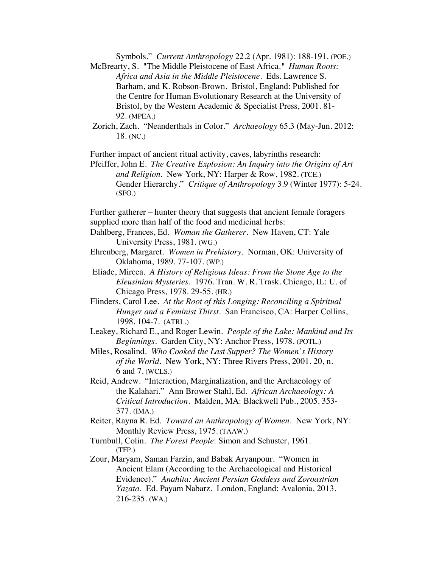Symbols." *Current Anthropology* 22.2 (Apr. 1981): 188-191. (POE.)

McBrearty, S. "The Middle Pleistocene of East Africa*." Human Roots: Africa and Asia in the Middle Pleistocene.* Eds. Lawrence S. Barham, and K. Robson-Brown. Bristol, England: Published for the Centre for Human Evolutionary Research at the University of Bristol, by the Western Academic & Specialist Press, 2001. 81- 92. (MPEA.)

Zorich, Zach. "Neanderthals in Color." *Archaeology* 65.3 (May-Jun. 2012: 18. (NC.)

Further impact of ancient ritual activity, caves, labyrinths research:

Pfeiffer, John E. *The Creative Explosion: An Inquiry into the Origins of Art and Religion.* New York, NY: Harper & Row, 1982. (TCE.) Gender Hierarchy." *Critique of Anthropology* 3.9 (Winter 1977): 5-24. (SFO.)

Further gatherer – hunter theory that suggests that ancient female foragers supplied more than half of the food and medicinal herbs:

- Dahlberg, Frances, Ed. *Woman the Gatherer.* New Haven, CT: Yale University Press, 1981. (WG.)
- Ehrenberg, Margaret. *Women in Prehistory*. Norman, OK: University of Oklahoma, 1989. 77-107. (WP.)
- Eliade, Mircea. *A History of Religious Ideas: From the Stone Age to the Eleusinian Mysteries.* 1976. Tran. W. R. Trask. Chicago, IL: U. of Chicago Press, 1978. 29-55. (HR.)
- Flinders, Carol Lee. *At the Root of this Longing: Reconciling a Spiritual Hunger and a Feminist Thirst*. San Francisco, CA: Harper Collins, 1998. 104-7. (ATRL.)
- Leakey, Richard E., and Roger Lewin. *People of the Lake: Mankind and Its Beginnings*. Garden City, NY: Anchor Press, 1978. (POTL.)

Miles, Rosalind. *Who Cooked the Last Supper? The Women's History of the World*. New York, NY: Three Rivers Press, 2001. 20, n. 6 and 7. (WCLS.)

- Reid, Andrew. "Interaction, Marginalization, and the Archaeology of the Kalahari." Ann Brower Stahl, Ed. *African Archaeology: A Critical Introduction*. Malden, MA: Blackwell Pub., 2005. 353- 377. (IMA.)
- Reiter, Rayna R. Ed. *Toward an Anthropology of Women*. New York, NY: Monthly Review Press, 1975. (TAAW.)
- Turnbull, Colin. *The Forest People*: Simon and Schuster, 1961. (TFP.)

Zour, Maryam, Saman Farzin, and Babak Aryanpour. "Women in Ancient Elam (According to the Archaeological and Historical Evidence)." *Anahita: Ancient Persian Goddess and Zoroastrian Yazata.* Ed. Payam Nabarz. London, England: Avalonia, 2013. 216-235. (WA.)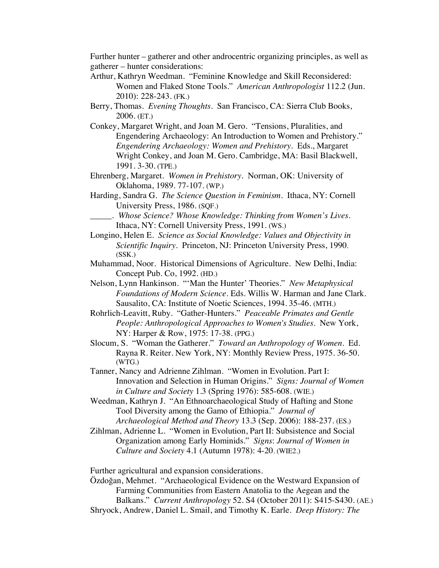Further hunter – gatherer and other androcentric organizing principles, as well as gatherer – hunter considerations:

- Arthur, Kathryn Weedman. "Feminine Knowledge and Skill Reconsidered: Women and Flaked Stone Tools." *American Anthropologist* 112.2 (Jun. 2010): 228-243. (FK.)
- Berry, Thomas. *Evening Thoughts.* San Francisco, CA: Sierra Club Books, 2006. (ET.)
- Conkey, Margaret Wright, and Joan M. Gero. "Tensions, Pluralities, and Engendering Archaeology: An Introduction to Women and Prehistory." *Engendering Archaeology: Women and Prehistory*. Eds., Margaret Wright Conkey, and Joan M. Gero. Cambridge, MA: Basil Blackwell, 1991. 3-30. (TPE.)
- Ehrenberg, Margaret. *Women in Prehistory*. Norman, OK: University of Oklahoma, 1989. 77-107. (WP.)
- Harding, Sandra G. *The Science Question in Feminism*. Ithaca, NY: Cornell University Press, 1986. (SQF.)
	- \_\_\_\_\_. *Whose Science? Whose Knowledge: Thinking from Women's Lives.* Ithaca, NY: Cornell University Press, 1991. (WS.)
- Longino, Helen E. *Science as Social Knowledge: Values and Objectivity in Scientific Inquiry.* Princeton, NJ: Princeton University Press, 1990. (SSK.)
- Muhammad, Noor. Historical Dimensions of Agriculture. New Delhi, India: Concept Pub. Co, 1992. (HD.)
- Nelson, Lynn Hankinson. "'Man the Hunter' Theories." *New Metaphysical Foundations of Modern Science.* Eds. Willis W. Harman and Jane Clark. Sausalito, CA: Institute of Noetic Sciences, 1994. 35-46. (MTH.)
- Rohrlich-Leavitt, Ruby. "Gather-Hunters." *Peaceable Primates and Gentle People: Anthropological Approaches to Women's Studies*. New York, NY: Harper & Row, 1975: 17-38. (PPG.)
- Slocum, S. "Woman the Gatherer." *Toward an Anthropology of Women*. Ed. Rayna R. Reiter. New York, NY: Monthly Review Press, 1975. 36-50. (WTG.)
- Tanner, Nancy and Adrienne Zihlman. "Women in Evolution. Part I: Innovation and Selection in Human Origins." *Signs: Journal of Women in Culture and Society* 1.3 (Spring 1976): 585-608. (WIE.)
- Weedman, Kathryn J. "An Ethnoarchaeological Study of Hafting and Stone Tool Diversity among the Gamo of Ethiopia." *Journal of Archaeological Method and Theory* 13.3 (Sep. 2006): 188-237. (ES.)
- Zihlman, Adrienne L. "Women in Evolution, Part II: Subsistence and Social Organization among Early Hominids." *Signs*: *Journal of Women in Culture and Society* 4.1 (Autumn 1978): 4-20. (WIE2.)

Further agricultural and expansion considerations.

Özdoğan, Mehmet. "Archaeological Evidence on the Westward Expansion of Farming Communities from Eastern Anatolia to the Aegean and the Balkans." *Current Anthropology* 52. S4 (October 2011): S415-S430. (AE.) Shryock, Andrew, Daniel L. Smail, and Timothy K. Earle. *Deep History: The*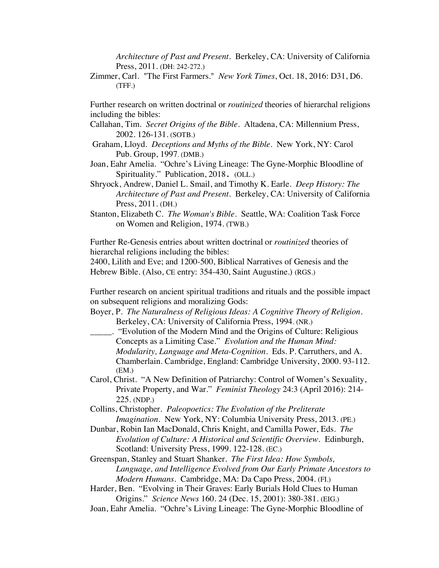*Architecture of Past and Present*. Berkeley, CA: University of California Press, 2011. (DH: 242-272.)

Zimmer, Carl. "The First Farmers." *New York Times*, Oct. 18, 2016: D31, D6. (TFF.)

Further research on written doctrinal or *routinized* theories of hierarchal religions including the bibles:

- Callahan, Tim. *Secret Origins of the Bible.* Altadena, CA: Millennium Press, 2002. 126-131. (SOTB.)
- Graham, Lloyd. *Deceptions and Myths of the Bible*. New York, NY: Carol Pub. Group, 1997. (DMB.)
- Joan, Eahr Amelia. "Ochre's Living Lineage: The Gyne-Morphic Bloodline of Spirituality." Publication, 2018. (OLL.)
- Shryock, Andrew, Daniel L. Smail, and Timothy K. Earle. *Deep History: The Architecture of Past and Present*. Berkeley, CA: University of California Press, 2011. (DH.)
- Stanton, Elizabeth C. *The Woman's Bible*. Seattle, WA: Coalition Task Force on Women and Religion, 1974. (TWB.)

Further Re-Genesis entries about written doctrinal or *routinized* theories of hierarchal religions including the bibles:

2400, Lilith and Eve; and 1200-500, Biblical Narratives of Genesis and the Hebrew Bible. (Also, CE entry: 354-430, Saint Augustine.) (RGS.)

Further research on ancient spiritual traditions and rituals and the possible impact on subsequent religions and moralizing Gods:

Boyer, P. *The Naturalness of Religious Ideas: A Cognitive Theory of Religion*. Berkeley, CA: University of California Press, 1994. (NR.)

\_\_\_\_\_. "Evolution of the Modern Mind and the Origins of Culture: Religious Concepts as a Limiting Case." *Evolution and the Human Mind: Modularity, Language and Meta-Cognition*. Eds. P. Carruthers, and A. Chamberlain. Cambridge, England: Cambridge University, 2000. 93-112. (EM.)

Carol, Christ. "A New Definition of Patriarchy: Control of Women's Sexuality, Private Property, and War." *Feminist Theology* 24:3 (April 2016): 214- 225. (NDP.)

Collins, Christopher. *Paleopoetics: The Evolution of the Preliterate Imagination*. New York, NY: Columbia University Press, 2013. (PE.)

Dunbar, Robin Ian MacDonald, Chris Knight, and Camilla Power, Eds. *The Evolution of Culture: A Historical and Scientific Overview.* Edinburgh, Scotland: University Press, 1999. 122-128. (EC.)

Greenspan, Stanley and Stuart Shanker. *The First Idea: How Symbols, Language, and Intelligence Evolved from Our Early Primate Ancestors to Modern Humans*. Cambridge, MA: Da Capo Press, 2004. (FI.)

Harder, Ben. "Evolving in Their Graves: Early Burials Hold Clues to Human Origins." *Science News* 160. 24 (Dec. 15, 2001): 380-381. (EIG.)

Joan, Eahr Amelia. "Ochre's Living Lineage: The Gyne-Morphic Bloodline of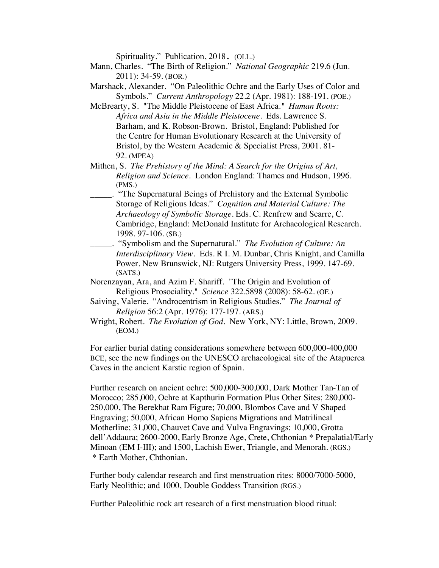Spirituality." Publication, 2018. (OLL.)

- Mann, Charles. "The Birth of Religion." *National Geographic* 219.6 (Jun. 2011): 34-59. (BOR.)
- Marshack, Alexander. "On Paleolithic Ochre and the Early Uses of Color and Symbols." *Current Anthropology* 22.2 (Apr. 1981): 188-191. (POE.)
- McBrearty, S. "The Middle Pleistocene of East Africa*." Human Roots: Africa and Asia in the Middle Pleistocene.* Eds. Lawrence S. Barham, and K. Robson-Brown. Bristol, England: Published for the Centre for Human Evolutionary Research at the University of Bristol, by the Western Academic & Specialist Press, 2001. 81- 92. (MPEA)
- Mithen, S. *The Prehistory of the Mind: A Search for the Origins of Art, Religion and Science*. London England: Thames and Hudson, 1996. (PMS.)
- \_\_\_\_\_. "The Supernatural Beings of Prehistory and the External Symbolic Storage of Religious Ideas." *Cognition and Material Culture: The Archaeology of Symbolic Storage*. Eds. C. Renfrew and Scarre, C. Cambridge, England: McDonald Institute for Archaeological Research. 1998. 97-106. (SB.)
- \_\_\_\_\_. "Symbolism and the Supernatural." *The Evolution of Culture: An Interdisciplinary View*. Eds. R I. M. Dunbar, Chris Knight, and Camilla Power. New Brunswick, NJ: Rutgers University Press, 1999. 147-69. (SATS.)
- Norenzayan, Ara, and Azim F. Shariff. "The Origin and Evolution of Religious Prosociality." *Science* 322.5898 (2008): 58-62. (OE.)
- Saiving, Valerie. "Androcentrism in Religious Studies." *The Journal of Religion* 56:2 (Apr. 1976): 177-197. (ARS.)
- Wright, Robert. *The Evolution of God*. New York, NY: Little, Brown, 2009. (EOM.)

For earlier burial dating considerations somewhere between 600,000-400,000 BCE, see the new findings on the UNESCO archaeological site of the Atapuerca Caves in the ancient Karstic region of Spain.

Further research on ancient ochre: 500,000-300,000, Dark Mother Tan-Tan of Morocco; 285,000, Ochre at Kapthurin Formation Plus Other Sites; 280,000- 250,000, The Berekhat Ram Figure; 70,000, Blombos Cave and V Shaped Engraving; 50,000, African Homo Sapiens Migrations and Matrilineal Motherline; 31,000, Chauvet Cave and Vulva Engravings; 10,000, Grotta dell'Addaura; 2600-2000, Early Bronze Age, Crete, Chthonian \* Prepalatial/Early Minoan (EM I-III); and 1500, Lachish Ewer, Triangle, and Menorah. (RGS.) \* Earth Mother, Chthonian.

Further body calendar research and first menstruation rites: 8000/7000-5000, Early Neolithic; and 1000, Double Goddess Transition (RGS.)

Further Paleolithic rock art research of a first menstruation blood ritual: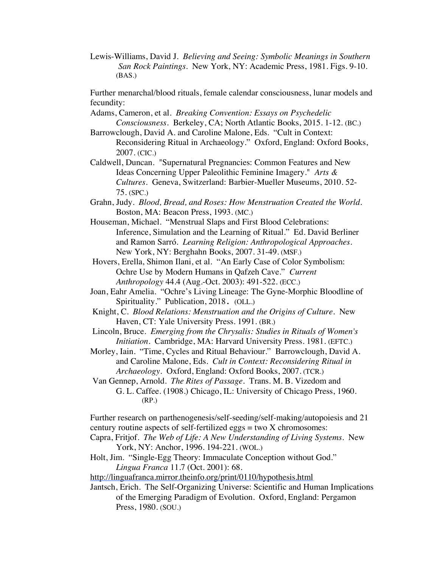Lewis-Williams, David J. *Believing and Seeing: Symbolic Meanings in Southern San Rock Paintings.* New York, NY: Academic Press, 1981. Figs. 9-10. (BAS.)

Further menarchal/blood rituals, female calendar consciousness, lunar models and fecundity:

- Adams, Cameron, et al. *Breaking Convention: Essays on Psychedelic Consciousness*. Berkeley, CA; North Atlantic Books, 2015. 1-12. (BC.)
- Barrowclough, David A. and Caroline Malone, Eds. "Cult in Context: Reconsidering Ritual in Archaeology." Oxford, England: Oxford Books, 2007. (CIC.)
- Caldwell, Duncan. "Supernatural Pregnancies: Common Features and New Ideas Concerning Upper Paleolithic Feminine Imagery." *Arts & Cultures.* Geneva, Switzerland: Barbier-Mueller Museums, 2010. 52- 75. (SPC.)
- Grahn, Judy. *Blood, Bread, and Roses: How Menstruation Created the World*. Boston, MA: Beacon Press, 1993. (MC.)
- Houseman, Michael. "Menstrual Slaps and First Blood Celebrations: Inference, Simulation and the Learning of Ritual." Ed. David Berliner and Ramon Sarró. *Learning Religion: Anthropological Approaches*. New York, NY: Berghahn Books, 2007. 31-49. (MSF.)
- Hovers, Erella, Shimon Ilani, et al. "An Early Case of Color Symbolism: Ochre Use by Modern Humans in Qafzeh Cave." *Current Anthropology* 44.4 (Aug.-Oct. 2003): 491-522. (ECC.)
- Joan, Eahr Amelia. "Ochre's Living Lineage: The Gyne-Morphic Bloodline of Spirituality." Publication, 2018. (OLL.)
- Knight, C. *Blood Relations: Menstruation and the Origins of Culture*. New Haven, CT: Yale University Press. 1991. (BR.)
- Lincoln, Bruce. *Emerging from the Chrysalis: Studies in Rituals of Women's Initiation.* Cambridge, MA: Harvard University Press. 1981. (EFTC.)
- Morley, Iain. "Time, Cycles and Ritual Behaviour." Barrowclough, David A. and Caroline Malone, Eds. *Cult in Context: Reconsidering Ritual in Archaeology.* Oxford, England: Oxford Books, 2007. (TCR.)
- Van Gennep, Arnold. *The Rites of Passage*. Trans. M. B. Vizedom and G. L. Caffee. (1908.) Chicago, IL: University of Chicago Press, 1960. (RP.)

Further research on parthenogenesis/self-seeding/self-making/autopoiesis and 21 century routine aspects of self-fertilized eggs  $=$  two  $X$  chromosomes:

- Capra, Fritjof. *The Web of Life: A New Understanding of Living Systems*. New York, NY: Anchor, 1996. 194-221. (WOL.)
- Holt, Jim. "Single-Egg Theory: Immaculate Conception without God." *Lingua Franca* 11.7 (Oct. 2001): 68.

http://linguafranca.mirror.theinfo.org/print/0110/hypothesis.html

Jantsch, Erich. The Self-Organizing Universe: Scientific and Human Implications of the Emerging Paradigm of Evolution. Oxford, England: Pergamon Press, 1980. (SOU.)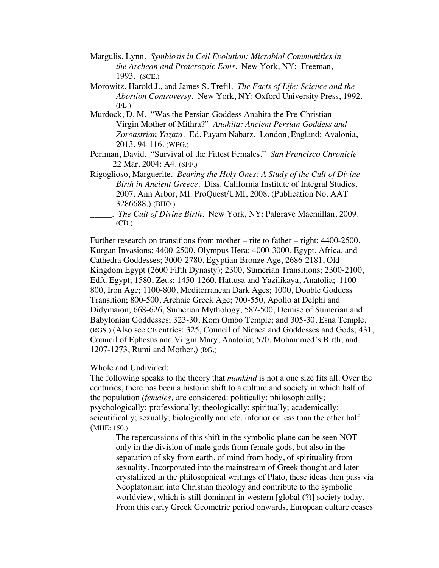- Margulis, Lynn. *Symbiosis in Cell Evolution: Microbial Communities in the Archean and Proterozoic Eons*. New York, NY: Freeman, 1993. (SCE.)
- Morowitz, Harold J., and James S. Trefil. *The Facts of Life: Science and the Abortion Controversy*. New York, NY: Oxford University Press, 1992.  $(FL.)$
- Murdock, D. M. "Was the Persian Goddess Anahita the Pre-Christian Virgin Mother of Mithra?" *Anahita: Ancient Persian Goddess and Zoroastrian Yazata.* Ed. Payam Nabarz. London, England: Avalonia, 2013. 94-116. (WPG.)
- Perlman, David. "Survival of the Fittest Females." *San Francisco Chronicle* 22 Mar. 2004: A4. (SFF.)
- Rigoglioso, Marguerite. *Bearing the Holy Ones: A Study of the Cult of Divine Birth in Ancient Greece*. Diss. California Institute of Integral Studies, 2007. Ann Arbor, MI: ProQuest/UMI, 2008. (Publication No. AAT 3286688.) (BHO.)
- \_\_\_\_\_. *The Cult of Divine Birth*. New York, NY: Palgrave Macmillan, 2009. (CD.)

Further research on transitions from mother – rite to father – right: 4400-2500, Kurgan Invasions; 4400-2500, Olympus Hera; 4000-3000, Egypt, Africa, and Cathedra Goddesses; 3000-2780, Egyptian Bronze Age, 2686-2181, Old Kingdom Egypt (2600 Fifth Dynasty); 2300, Sumerian Transitions; 2300-2100, Edfu Egypt; 1580, Zeus; 1450-1260, Hattusa and Yazilikaya, Anatolia; 1100- 800, Iron Age; 1100-800, Mediterranean Dark Ages; 1000, Double Goddess Transition; 800-500, Archaic Greek Age; 700-550, Apollo at Delphi and Didymaion; 668-626, Sumerian Mythology; 587-500, Demise of Sumerian and Babylonian Goddesses; 323-30, Kom Ombo Temple; and 305-30, Esna Temple. (RGS.) (Also see CE entries: 325, Council of Nicaea and Goddesses and Gods; 431, Council of Ephesus and Virgin Mary, Anatolia; 570, Mohammed's Birth; and 1207-1273, Rumi and Mother.) (RG.)

#### Whole and Undivided:

The following speaks to the theory that *mankind* is not a one size fits all. Over the centuries, there has been a historic shift to a culture and society in which half of the population *(females)* are considered: politically; philosophically; psychologically; professionally; theologically; spiritually; academically; scientifically; sexually; biologically and etc. inferior or less than the other half. (MHE: 150.)

The repercussions of this shift in the symbolic plane can be seen NOT only in the division of male gods from female gods, but also in the separation of sky from earth, of mind from body, of spirituality from sexuality. Incorporated into the mainstream of Greek thought and later crystallized in the philosophical writings of Plato, these ideas then pass via Neoplatonism into Christian theology and contribute to the symbolic worldview, which is still dominant in western [global (?)] society today. From this early Greek Geometric period onwards, European culture ceases